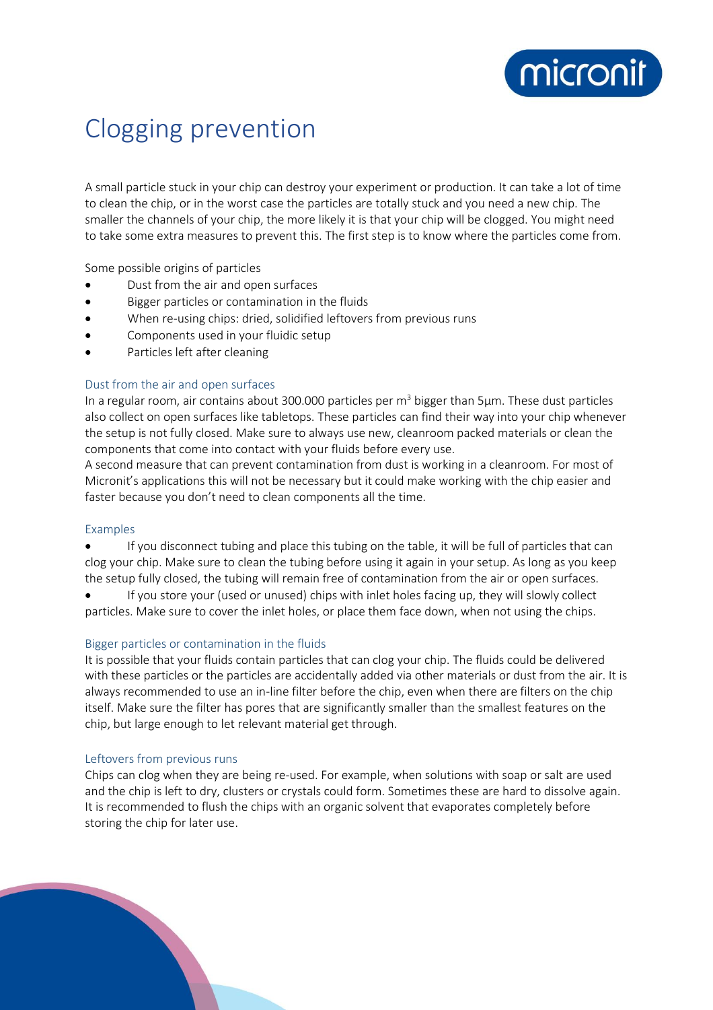

# Clogging prevention

A small particle stuck in your chip can destroy your experiment or production. It can take a lot of time to clean the chip, or in the worst case the particles are totally stuck and you need a new chip. The smaller the channels of your chip, the more likely it is that your chip will be clogged. You might need to take some extra measures to prevent this. The first step is to know where the particles come from.

Some possible origins of particles

- Dust from the air and open surfaces
- Bigger particles or contamination in the fluids
- When re-using chips: dried, solidified leftovers from previous runs
- Components used in your fluidic setup
- Particles left after cleaning

#### Dust from the air and open surfaces

In a regular room, air contains about 300.000 particles per  $m<sup>3</sup>$  bigger than 5 $\mu$ m. These dust particles also collect on open surfaces like tabletops. These particles can find their way into your chip whenever the setup is not fully closed. Make sure to always use new, cleanroom packed materials or clean the components that come into contact with your fluids before every use.

A second measure that can prevent contamination from dust is working in a cleanroom. For most of Micronit's applications this will not be necessary but it could make working with the chip easier and faster because you don't need to clean components all the time.

#### Examples

- If you disconnect tubing and place this tubing on the table, it will be full of particles that can clog your chip. Make sure to clean the tubing before using it again in your setup. As long as you keep the setup fully closed, the tubing will remain free of contamination from the air or open surfaces.
- If you store your (used or unused) chips with inlet holes facing up, they will slowly collect particles. Make sure to cover the inlet holes, or place them face down, when not using the chips.

#### Bigger particles or contamination in the fluids

It is possible that your fluids contain particles that can clog your chip. The fluids could be delivered with these particles or the particles are accidentally added via other materials or dust from the air. It is always recommended to use an in-line filter before the chip, even when there are filters on the chip itself. Make sure the filter has pores that are significantly smaller than the smallest features on the chip, but large enough to let relevant material get through.

### Leftovers from previous runs

Chips can clog when they are being re-used. For example, when solutions with soap or salt are used and the chip is left to dry, clusters or crystals could form. Sometimes these are hard to dissolve again. It is recommended to flush the chips with an organic solvent that evaporates completely before storing the chip for later use.